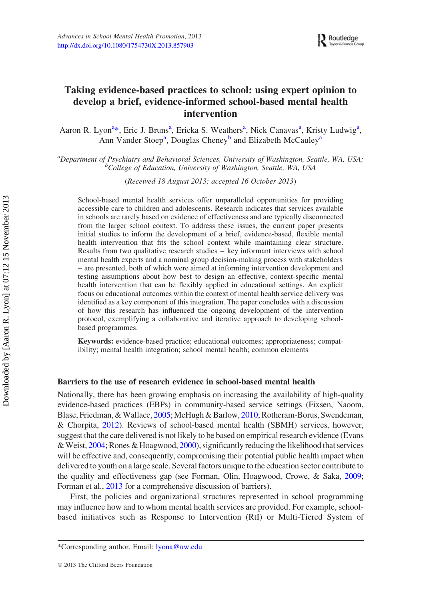# Taking evidence-based practices to school: using expert opinion to develop a brief, evidence-informed school-based mental health intervention

A[a](#page-0-0)ron R. Lyon<sup>a</sup>[\\*](#page-0-1), Eric J. Bruns<sup>a</sup>, Ericka S. Weathers<sup>a</sup>, Nick Canavas<sup>a</sup>, Kristy Ludwig<sup>a</sup>, Ann V[a](#page-0-0)nder Stoep<sup>a</sup>, Douglas Cheney<sup>[b](#page-0-0)</sup> and Elizabeth McCauley<sup>a</sup>

<span id="page-0-0"></span><sup>a</sup>Department of Psychiatry and Behavioral Sciences, University of Washington, Seattle, WA, USA;<br><sup>b</sup>College of Education, University of Washington, Seattle, WA, USA  $^{b}$ College of Education, University of Washington, Seattle, WA, USA

(Received 18 August 2013; accepted 16 October 2013)

School-based mental health services offer unparalleled opportunities for providing accessible care to children and adolescents. Research indicates that services available in schools are rarely based on evidence of effectiveness and are typically disconnected from the larger school context. To address these issues, the current paper presents initial studies to inform the development of a brief, evidence-based, flexible mental health intervention that fits the school context while maintaining clear structure. Results from two qualitative research studies – key informant interviews with school mental health experts and a nominal group decision-making process with stakeholders – are presented, both of which were aimed at informing intervention development and testing assumptions about how best to design an effective, context-specific mental health intervention that can be flexibly applied in educational settings. An explicit focus on educational outcomes within the context of mental health service delivery was identified as a key component of this integration. The paper concludes with a discussion of how this research has influenced the ongoing development of the intervention protocol, exemplifying a collaborative and iterative approach to developing schoolbased programmes.

Keywords: evidence-based practice; educational outcomes; appropriateness; compatibility; mental health integration; school mental health; common elements

#### Barriers to the use of research evidence in school-based mental health

Nationally, there has been growing emphasis on increasing the availability of high-quality evidence-based practices (EBPs) in community-based service settings (Fixsen, Naoom, Blase, Friedman,&Wallace, [2005;](#page-17-0) McHugh&Barlow, [2010;](#page-18-0)Rotheram-Borus, Swendeman, & Chorpita, [2012](#page-19-0)). Reviews of school-based mental health (SBMH) services, however, suggest that the care delivered is not likely to be based on empirical research evidence (Evans & Weist,  $2004$ ; Rones & Hoagwood,  $2000$ ), significantly reducing the likelihood that services will be effective and, consequently, compromising their potential public health impact when delivered to youth on a large scale. Severalfactors unique to the education sector contribute to the quality and effectiveness gap (see Forman, Olin, Hoagwood, Crowe, & Saka, [2009](#page-17-2); Forman et al., [2013](#page-17-3) for a comprehensive discussion of barriers).

First, the policies and organizational structures represented in school programming may influence how and to whom mental health services are provided. For example, schoolbased initiatives such as Response to Intervention (RtI) or Multi-Tiered System of

<span id="page-0-1"></span><sup>\*</sup>Corresponding author. Email: lyona@uw.edu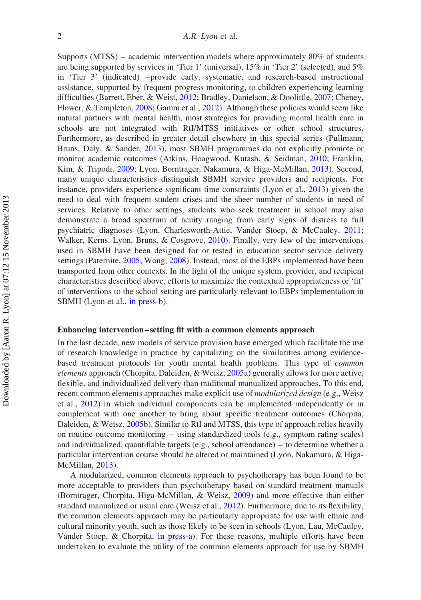# 2 A.R. Lyon et al.

Supports (MTSS) – academic intervention models where approximately 80% of students are being supported by services in 'Tier 1' (universal), 15% in 'Tier 2' (selected), and 5% in 'Tier 3' (indicated) –provide early, systematic, and research-based instructional assistance, supported by frequent progress monitoring, to children experiencing learning difficulties (Barrett, Eber, & Weist, [2012](#page-17-4); Bradley, Danielson, & Doolittle, [2007;](#page-17-5) Cheney, Flower, & Templeton, [2008](#page-17-6); Gamm et al., [2012\)](#page-18-1). Although these policies would seem like natural partners with mental health, most strategies for providing mental health care in schools are not integrated with RtI/MTSS initiatives or other school structures. Furthermore, as described in greater detail elsewhere in this special series (Pullmann, Bruns, Daly, & Sander, [2013](#page-18-2)), most SBMH programmes do not explicitly promote or monitor academic outcomes (Atkins, Hoagwood, Kutash, & Seidman, [2010;](#page-17-7) Franklin, Kim, & Tripodi, [2009](#page-17-8); Lyon, Borntrager, Nakamura, & Higa-McMillan, [2013](#page-18-3)). Second, many unique characteristics distinguish SBMH service providers and recipients. For instance, providers experience significant time constraints (Lyon et al., [2013](#page-18-4)) given the need to deal with frequent student crises and the sheer number of students in need of services. Relative to other settings, students who seek treatment in school may also demonstrate a broad spectrum of acuity ranging from early signs of distress to full psychiatric diagnoses (Lyon, Charlesworth-Attie, Vander Stoep, & McCauley, [2011](#page-18-5); Walker, Kerns, Lyon, Bruns, & Cosgrove, [2010\)](#page-19-2). Finally, very few of the interventions used in SBMH have been designed for or tested in education sector service delivery settings (Paternite, [2005;](#page-18-6) Wong, [2008](#page-19-3)). Instead, most of the EBPs implemented have been transported from other contexts. In the light of the unique system, provider, and recipient characteristics described above, efforts to maximize the contextual appropriateness or 'fit' of interventions to the school setting are particularly relevant to EBPs implementation in SBMH (Lyon et al., in [press-b](#page-18-7)).

#### Enhancing intervention – setting fit with a common elements approach

In the last decade, new models of service provision have emerged which facilitate the use of research knowledge in practice by capitalizing on the similarities among evidencebased treatment protocols for youth mental health problems. This type of common elements approach (Chorpita, Daleiden, & Weisz, [2005a](#page-17-9)) generally allows for more active, flexible, and individualized delivery than traditional manualized approaches. To this end, recent common elements approaches make explicit use of *modularized design* (e.g., Weisz et al., [2012](#page-19-4)) in which individual components can be implemented independently or in complement with one another to bring about specific treatment outcomes (Chorpita, Daleiden, & Weisz, [2005](#page-17-10)b). Similar to RtI and MTSS, this type of approach relies heavily on routine outcome monitoring  $-$  using standardized tools (e.g., symptom rating scales) and individualized, quantifiable targets (e.g., school attendance) – to determine whether a particular intervention course should be altered or maintained (Lyon, Nakamura, & Higa-McMillan, [2013\)](#page-18-3).

A modularized, common elements approach to psychotherapy has been found to be more acceptable to providers than psychotherapy based on standard treatment manuals (Borntrager, Chorpita, Higa-McMillan, & Weisz, [2009](#page-17-11)) and more effective than either standard manualized or usual care (Weisz et al., [2012\)](#page-19-4). Furthermore, due to its flexibility, the common elements approach may be particularly appropriate for use with ethnic and cultural minority youth, such as those likely to be seen in schools (Lyon, Lau, McCauley, Vander Stoep, & Chorpita, in [press-a](#page-18-8)). For these reasons, multiple efforts have been undertaken to evaluate the utility of the common elements approach for use by SBMH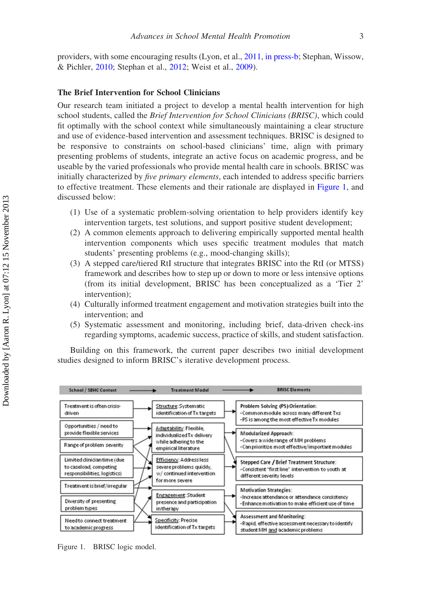providers, with some encouraging results (Lyon, et al., [2011,](#page-18-5) in [press-b](#page-18-7); Stephan, Wissow, & Pichler, [2010;](#page-19-5) Stephan et al., [2012](#page-19-6); Weist et al., [2009](#page-19-7)).

# The Brief Intervention for School Clinicians

Our research team initiated a project to develop a mental health intervention for high school students, called the Brief Intervention for School Clinicians (BRISC), which could fit optimally with the school context while simultaneously maintaining a clear structure and use of evidence-based intervention and assessment techniques. BRISC is designed to be responsive to constraints on school-based clinicians' time, align with primary presenting problems of students, integrate an active focus on academic progress, and be useable by the varied professionals who provide mental health care in schools. BRISC was initially characterized by *five primary elements*, each intended to address specific barriers to effective treatment. These elements and their rationale are displayed in [Figure](#page-2-0) 1, and discussed below:

- (1) Use of a systematic problem-solving orientation to help providers identify key intervention targets, test solutions, and support positive student development;
- (2) A common elements approach to delivering empirically supported mental health intervention components which uses specific treatment modules that match students' presenting problems (e.g., mood-changing skills);
- (3) A stepped care/tiered RtI structure that integrates BRISC into the RtI (or MTSS) framework and describes how to step up or down to more or less intensive options (from its initial development, BRISC has been conceptualized as a 'Tier 2' intervention);
- (4) Culturally informed treatment engagement and motivation strategies built into the intervention; and
- (5) Systematic assessment and monitoring, including brief, data-driven check-ins regarding symptoms, academic success, practice of skills, and student satisfaction.

Building on this framework, the current paper describes two initial development studies designed to inform BRISC's iterative development process.

<span id="page-2-0"></span>

Figure 1. BRISC logic model.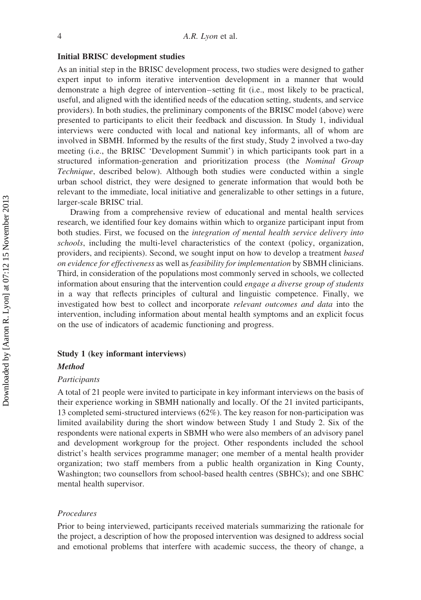# Initial BRISC development studies

As an initial step in the BRISC development process, two studies were designed to gather expert input to inform iterative intervention development in a manner that would demonstrate a high degree of intervention–setting fit (i.e., most likely to be practical, useful, and aligned with the identified needs of the education setting, students, and service providers). In both studies, the preliminary components of the BRISC model (above) were presented to participants to elicit their feedback and discussion. In Study 1, individual interviews were conducted with local and national key informants, all of whom are involved in SBMH. Informed by the results of the first study, Study 2 involved a two-day meeting (i.e., the BRISC 'Development Summit') in which participants took part in a structured information-generation and prioritization process (the Nominal Group Technique, described below). Although both studies were conducted within a single urban school district, they were designed to generate information that would both be relevant to the immediate, local initiative and generalizable to other settings in a future, larger-scale BRISC trial.

Drawing from a comprehensive review of educational and mental health services research, we identified four key domains within which to organize participant input from both studies. First, we focused on the integration of mental health service delivery into schools, including the multi-level characteristics of the context (policy, organization, providers, and recipients). Second, we sought input on how to develop a treatment based on evidence for effectiveness as well as feasibility for implementation by SBMH clinicians. Third, in consideration of the populations most commonly served in schools, we collected information about ensuring that the intervention could engage a diverse group of students in a way that reflects principles of cultural and linguistic competence. Finally, we investigated how best to collect and incorporate *relevant outcomes and data* into the intervention, including information about mental health symptoms and an explicit focus on the use of indicators of academic functioning and progress.

# Study 1 (key informant interviews) Method

#### Participants

A total of 21 people were invited to participate in key informant interviews on the basis of their experience working in SBMH nationally and locally. Of the 21 invited participants, 13 completed semi-structured interviews (62%). The key reason for non-participation was limited availability during the short window between Study 1 and Study 2. Six of the respondents were national experts in SBMH who were also members of an advisory panel and development workgroup for the project. Other respondents included the school district's health services programme manager; one member of a mental health provider organization; two staff members from a public health organization in King County, Washington; two counsellors from school-based health centres (SBHCs); and one SBHC mental health supervisor.

# Procedures

Prior to being interviewed, participants received materials summarizing the rationale for the project, a description of how the proposed intervention was designed to address social and emotional problems that interfere with academic success, the theory of change, a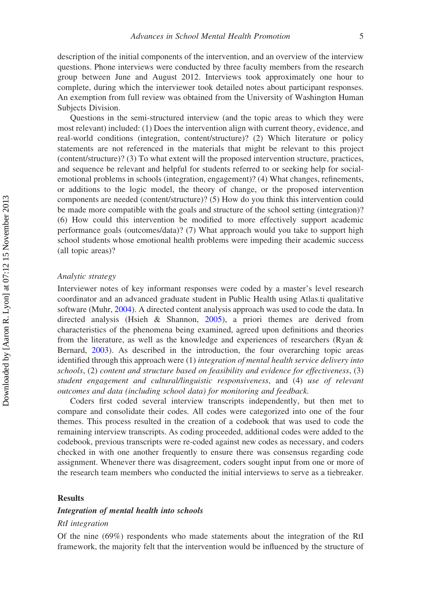description of the initial components of the intervention, and an overview of the interview questions. Phone interviews were conducted by three faculty members from the research group between June and August 2012. Interviews took approximately one hour to complete, during which the interviewer took detailed notes about participant responses. An exemption from full review was obtained from the University of Washington Human Subjects Division.

Questions in the semi-structured interview (and the topic areas to which they were most relevant) included: (1) Does the intervention align with current theory, evidence, and real-world conditions (integration, content/structure)? (2) Which literature or policy statements are not referenced in the materials that might be relevant to this project (content/structure)? (3) To what extent will the proposed intervention structure, practices, and sequence be relevant and helpful for students referred to or seeking help for socialemotional problems in schools (integration, engagement)? (4) What changes, refinements, or additions to the logic model, the theory of change, or the proposed intervention components are needed (content/structure)? (5) How do you think this intervention could be made more compatible with the goals and structure of the school setting (integration)? (6) How could this intervention be modified to more effectively support academic performance goals (outcomes/data)? (7) What approach would you take to support high school students whose emotional health problems were impeding their academic success (all topic areas)?

#### Analytic strategy

Interviewer notes of key informant responses were coded by a master's level research coordinator and an advanced graduate student in Public Health using Atlas.ti qualitative software (Muhr, [2004](#page-18-9)). A directed content analysis approach was used to code the data. In directed analysis (Hsieh & Shannon, [2005](#page-18-10)), a priori themes are derived from characteristics of the phenomena being examined, agreed upon definitions and theories from the literature, as well as the knowledge and experiences of researchers (Ryan & Bernard, [2003](#page-19-8)). As described in the introduction, the four overarching topic areas identified through this approach were (1) integration of mental health service delivery into schools, (2) content and structure based on feasibility and evidence for effectiveness, (3) student engagement and cultural/linguistic responsiveness, and (4) use of relevant outcomes and data (including school data) for monitoring and feedback.

Coders first coded several interview transcripts independently, but then met to compare and consolidate their codes. All codes were categorized into one of the four themes. This process resulted in the creation of a codebook that was used to code the remaining interview transcripts. As coding proceeded, additional codes were added to the codebook, previous transcripts were re-coded against new codes as necessary, and coders checked in with one another frequently to ensure there was consensus regarding code assignment. Whenever there was disagreement, coders sought input from one or more of the research team members who conducted the initial interviews to serve as a tiebreaker.

# Results

# Integration of mental health into schools

#### RtI integration

Of the nine (69%) respondents who made statements about the integration of the RtI framework, the majority felt that the intervention would be influenced by the structure of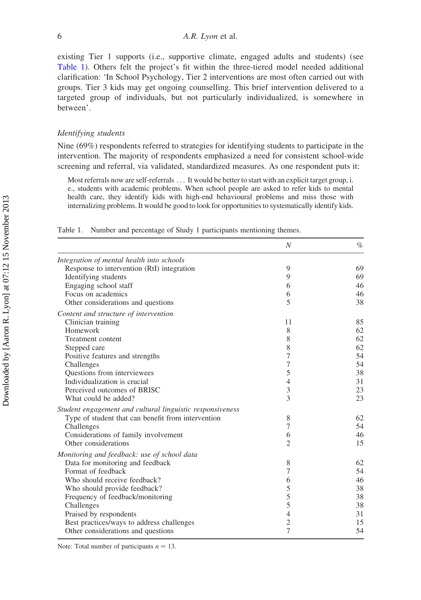existing Tier 1 supports (i.e., supportive climate, engaged adults and students) (see [Table](#page-5-0) 1). Others felt the project's fit within the three-tiered model needed additional clarification: 'In School Psychology, Tier 2 interventions are most often carried out with groups. Tier 3 kids may get ongoing counselling. This brief intervention delivered to a targeted group of individuals, but not particularly individualized, is somewhere in between'.

#### Identifying students

Nine (69%) respondents referred to strategies for identifying students to participate in the intervention. The majority of respondents emphasized a need for consistent school-wide screening and referral, via validated, standardized measures. As one respondent puts it:

Most referrals now are self-referrals ... It would be better to start with an explicit target group, i. e., students with academic problems. When school people are asked to refer kids to mental health care, they identify kids with high-end behavioural problems and miss those with internalizing problems. It would be good to look for opportunitiesto systematically identify kids.

|                                                           | $\boldsymbol{N}$ | $\%$ |
|-----------------------------------------------------------|------------------|------|
| Integration of mental health into schools                 |                  |      |
| Response to intervention (RtI) integration                | 9                | 69   |
| Identifying students                                      | 9                | 69   |
| Engaging school staff                                     | 6                | 46   |
| Focus on academics                                        | 6                | 46   |
| Other considerations and questions                        | 5                | 38   |
| Content and structure of intervention                     |                  |      |
| Clinician training                                        | 11               | 85   |
| Homework                                                  | 8                | 62   |
| Treatment content                                         | 8                | 62   |
| Stepped care                                              | 8                | 62   |
| Positive features and strengths                           | $\overline{7}$   | 54   |
| Challenges                                                | $\overline{7}$   | 54   |
| Questions from interviewees                               | 5                | 38   |
| Individualization is crucial                              | $\overline{4}$   | 31   |
| Perceived outcomes of BRISC                               | 3                | 23   |
| What could be added?                                      | 3                | 23   |
| Student engagement and cultural linguistic responsiveness |                  |      |
| Type of student that can benefit from intervention        | 8                | 62   |
| Challenges                                                | 7                | 54   |
| Considerations of family involvement                      | 6                | 46   |
| Other considerations                                      | $\overline{2}$   | 15   |
| Monitoring and feedback: use of school data               |                  |      |
| Data for monitoring and feedback                          | 8                | 62   |
| Format of feedback                                        | 7                | 54   |
| Who should receive feedback?                              | 6                | 46   |
| Who should provide feedback?                              | 5                | 38   |
| Frequency of feedback/monitoring                          | 5                | 38   |
| Challenges                                                | 5                | 38   |
| Praised by respondents                                    | $\overline{4}$   | 31   |
| Best practices/ways to address challenges                 | $\overline{c}$   | 15   |
| Other considerations and questions                        | $\overline{7}$   | 54   |

<span id="page-5-0"></span>Table 1. Number and percentage of Study 1 participants mentioning themes.

Note: Total number of participants  $n = 13$ .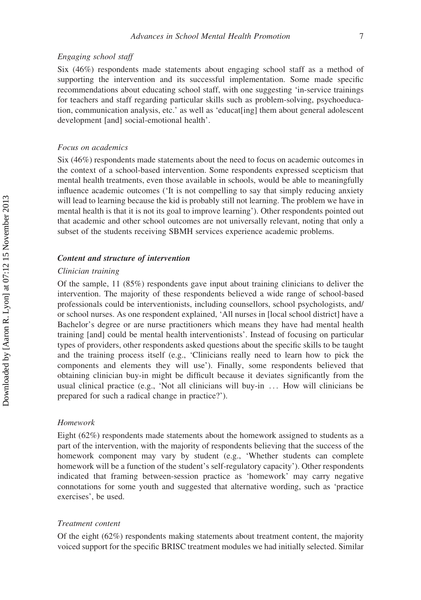#### Engaging school staff

Six (46%) respondents made statements about engaging school staff as a method of supporting the intervention and its successful implementation. Some made specific recommendations about educating school staff, with one suggesting 'in-service trainings for teachers and staff regarding particular skills such as problem-solving, psychoeducation, communication analysis, etc.' as well as 'educat[ing] them about general adolescent development [and] social-emotional health'.

# Focus on academics

Six (46%) respondents made statements about the need to focus on academic outcomes in the context of a school-based intervention. Some respondents expressed scepticism that mental health treatments, even those available in schools, would be able to meaningfully influence academic outcomes ('It is not compelling to say that simply reducing anxiety will lead to learning because the kid is probably still not learning. The problem we have in mental health is that it is not its goal to improve learning'). Other respondents pointed out that academic and other school outcomes are not universally relevant, noting that only a subset of the students receiving SBMH services experience academic problems.

# Content and structure of intervention

#### Clinician training

Of the sample, 11 (85%) respondents gave input about training clinicians to deliver the intervention. The majority of these respondents believed a wide range of school-based professionals could be interventionists, including counsellors, school psychologists, and/ or school nurses. As one respondent explained, 'All nurses in [local school district] have a Bachelor's degree or are nurse practitioners which means they have had mental health training [and] could be mental health interventionists'. Instead of focusing on particular types of providers, other respondents asked questions about the specific skills to be taught and the training process itself (e.g., 'Clinicians really need to learn how to pick the components and elements they will use'). Finally, some respondents believed that obtaining clinician buy-in might be difficult because it deviates significantly from the usual clinical practice (e.g., 'Not all clinicians will buy-in ... How will clinicians be prepared for such a radical change in practice?').

# Homework

Eight (62%) respondents made statements about the homework assigned to students as a part of the intervention, with the majority of respondents believing that the success of the homework component may vary by student (e.g., 'Whether students can complete homework will be a function of the student's self-regulatory capacity'). Other respondents indicated that framing between-session practice as 'homework' may carry negative connotations for some youth and suggested that alternative wording, such as 'practice exercises', be used.

#### Treatment content

Of the eight (62%) respondents making statements about treatment content, the majority voiced support for the specific BRISC treatment modules we had initially selected. Similar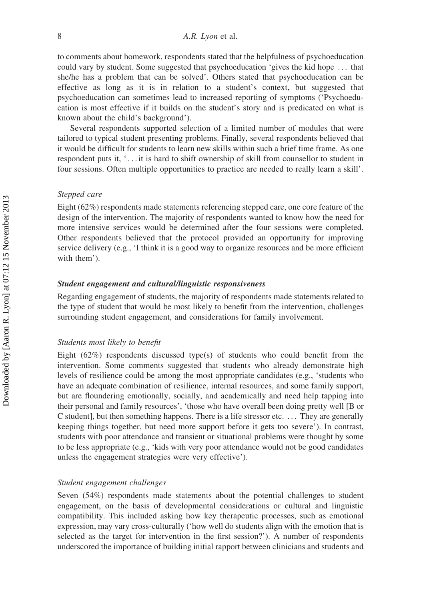to comments about homework, respondents stated that the helpfulness of psychoeducation could vary by student. Some suggested that psychoeducation 'gives the kid hope . . . that she/he has a problem that can be solved'. Others stated that psychoeducation can be effective as long as it is in relation to a student's context, but suggested that psychoeducation can sometimes lead to increased reporting of symptoms ('Psychoeducation is most effective if it builds on the student's story and is predicated on what is known about the child's background').

Several respondents supported selection of a limited number of modules that were tailored to typical student presenting problems. Finally, several respondents believed that it would be difficult for students to learn new skills within such a brief time frame. As one respondent puts it, ' . . . it is hard to shift ownership of skill from counsellor to student in four sessions. Often multiple opportunities to practice are needed to really learn a skill'.

#### Stepped care

Eight (62%) respondents made statements referencing stepped care, one core feature of the design of the intervention. The majority of respondents wanted to know how the need for more intensive services would be determined after the four sessions were completed. Other respondents believed that the protocol provided an opportunity for improving service delivery (e.g., 'I think it is a good way to organize resources and be more efficient with them').

# Student engagement and cultural/linguistic responsiveness

Regarding engagement of students, the majority of respondents made statements related to the type of student that would be most likely to benefit from the intervention, challenges surrounding student engagement, and considerations for family involvement.

#### Students most likely to benefit

Eight  $(62%)$  respondents discussed type(s) of students who could benefit from the intervention. Some comments suggested that students who already demonstrate high levels of resilience could be among the most appropriate candidates (e.g., 'students who have an adequate combination of resilience, internal resources, and some family support, but are floundering emotionally, socially, and academically and need help tapping into their personal and family resources', 'those who have overall been doing pretty well [B or C student], but then something happens. There is a life stressor etc. ... They are generally keeping things together, but need more support before it gets too severe'). In contrast, students with poor attendance and transient or situational problems were thought by some to be less appropriate (e.g., 'kids with very poor attendance would not be good candidates unless the engagement strategies were very effective').

#### Student engagement challenges

Seven (54%) respondents made statements about the potential challenges to student engagement, on the basis of developmental considerations or cultural and linguistic compatibility. This included asking how key therapeutic processes, such as emotional expression, may vary cross-culturally ('how well do students align with the emotion that is selected as the target for intervention in the first session?'). A number of respondents underscored the importance of building initial rapport between clinicians and students and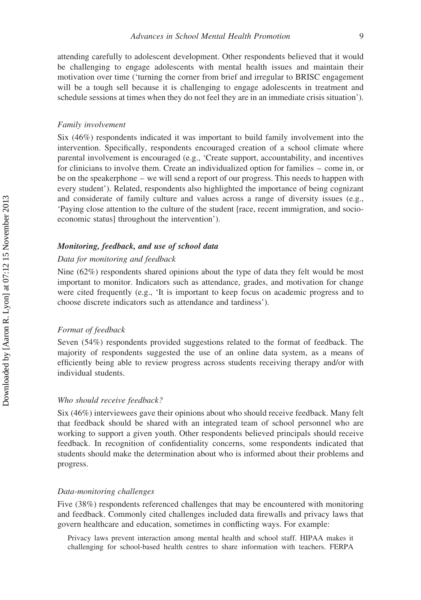attending carefully to adolescent development. Other respondents believed that it would be challenging to engage adolescents with mental health issues and maintain their motivation over time ('turning the corner from brief and irregular to BRISC engagement will be a tough sell because it is challenging to engage adolescents in treatment and schedule sessions at times when they do not feel they are in an immediate crisis situation').

# Family involvement

Six (46%) respondents indicated it was important to build family involvement into the intervention. Specifically, respondents encouraged creation of a school climate where parental involvement is encouraged (e.g., 'Create support, accountability, and incentives for clinicians to involve them. Create an individualized option for families – come in, or be on the speakerphone – we will send a report of our progress. This needs to happen with every student'). Related, respondents also highlighted the importance of being cognizant and considerate of family culture and values across a range of diversity issues (e.g., 'Paying close attention to the culture of the student [race, recent immigration, and socioeconomic status] throughout the intervention').

# Monitoring, feedback, and use of school data

#### Data for monitoring and feedback

Nine (62%) respondents shared opinions about the type of data they felt would be most important to monitor. Indicators such as attendance, grades, and motivation for change were cited frequently (e.g., 'It is important to keep focus on academic progress and to choose discrete indicators such as attendance and tardiness').

#### Format of feedback

Seven (54%) respondents provided suggestions related to the format of feedback. The majority of respondents suggested the use of an online data system, as a means of efficiently being able to review progress across students receiving therapy and/or with individual students.

#### Who should receive feedback?

Six (46%) interviewees gave their opinions about who should receive feedback. Many felt that feedback should be shared with an integrated team of school personnel who are working to support a given youth. Other respondents believed principals should receive feedback. In recognition of confidentiality concerns, some respondents indicated that students should make the determination about who is informed about their problems and progress.

#### Data-monitoring challenges

Five (38%) respondents referenced challenges that may be encountered with monitoring and feedback. Commonly cited challenges included data firewalls and privacy laws that govern healthcare and education, sometimes in conflicting ways. For example:

Privacy laws prevent interaction among mental health and school staff. HIPAA makes it challenging for school-based health centres to share information with teachers. FERPA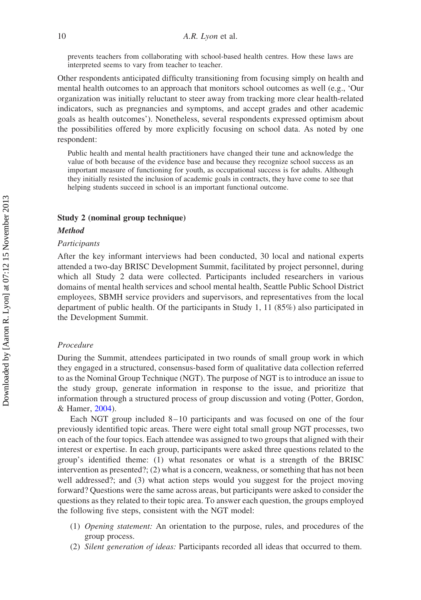prevents teachers from collaborating with school-based health centres. How these laws are interpreted seems to vary from teacher to teacher.

Other respondents anticipated difficulty transitioning from focusing simply on health and mental health outcomes to an approach that monitors school outcomes as well (e.g., 'Our organization was initially reluctant to steer away from tracking more clear health-related indicators, such as pregnancies and symptoms, and accept grades and other academic goals as health outcomes'). Nonetheless, several respondents expressed optimism about the possibilities offered by more explicitly focusing on school data. As noted by one respondent:

Public health and mental health practitioners have changed their tune and acknowledge the value of both because of the evidence base and because they recognize school success as an important measure of functioning for youth, as occupational success is for adults. Although they initially resisted the inclusion of academic goals in contracts, they have come to see that helping students succeed in school is an important functional outcome.

#### Study 2 (nominal group technique)

#### Method

# Participants

After the key informant interviews had been conducted, 30 local and national experts attended a two-day BRISC Development Summit, facilitated by project personnel, during which all Study 2 data were collected. Participants included researchers in various domains of mental health services and school mental health, Seattle Public School District employees, SBMH service providers and supervisors, and representatives from the local department of public health. Of the participants in Study 1, 11 (85%) also participated in the Development Summit.

#### Procedure

During the Summit, attendees participated in two rounds of small group work in which they engaged in a structured, consensus-based form of qualitative data collection referred to as the Nominal Group Technique (NGT). The purpose of NGT is to introduce an issue to the study group, generate information in response to the issue, and prioritize that information through a structured process of group discussion and voting (Potter, Gordon, & Hamer, [2004\)](#page-18-11).

Each NGT group included 8–10 participants and was focused on one of the four previously identified topic areas. There were eight total small group NGT processes, two on each of the four topics. Each attendee was assigned to two groups that aligned with their interest or expertise. In each group, participants were asked three questions related to the group's identified theme: (1) what resonates or what is a strength of the BRISC intervention as presented?; (2) what is a concern, weakness, or something that has not been well addressed?; and (3) what action steps would you suggest for the project moving forward? Questions were the same across areas, but participants were asked to consider the questions as they related to their topic area. To answer each question, the groups employed the following five steps, consistent with the NGT model:

- (1) Opening statement: An orientation to the purpose, rules, and procedures of the group process.
- (2) Silent generation of ideas: Participants recorded all ideas that occurred to them.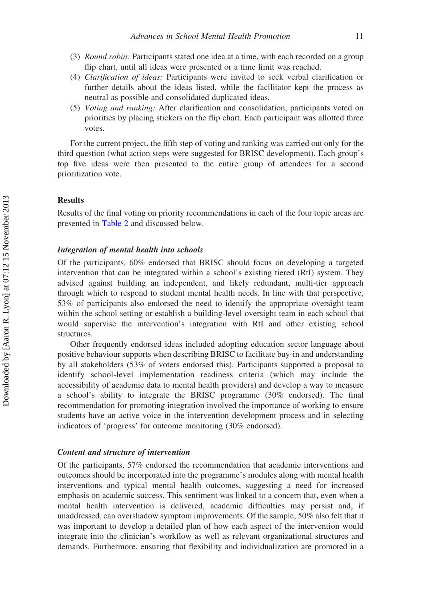- (3) Round robin: Participants stated one idea at a time, with each recorded on a group flip chart, until all ideas were presented or a time limit was reached.
- (4) Clarification of ideas: Participants were invited to seek verbal clarification or further details about the ideas listed, while the facilitator kept the process as neutral as possible and consolidated duplicated ideas.
- (5) Voting and ranking: After clarification and consolidation, participants voted on priorities by placing stickers on the flip chart. Each participant was allotted three votes.

For the current project, the fifth step of voting and ranking was carried out only for the third question (what action steps were suggested for BRISC development). Each group's top five ideas were then presented to the entire group of attendees for a second prioritization vote.

# **Results**

Results of the final voting on priority recommendations in each of the four topic areas are presented in [Table](#page-11-0) 2 and discussed below.

#### Integration of mental health into schools

Of the participants, 60% endorsed that BRISC should focus on developing a targeted intervention that can be integrated within a school's existing tiered (RtI) system. They advised against building an independent, and likely redundant, multi-tier approach through which to respond to student mental health needs. In line with that perspective, 53% of participants also endorsed the need to identify the appropriate oversight team within the school setting or establish a building-level oversight team in each school that would supervise the intervention's integration with RtI and other existing school structures.

Other frequently endorsed ideas included adopting education sector language about positive behaviour supports when describing BRISC to facilitate buy-in and understanding by all stakeholders (53% of voters endorsed this). Participants supported a proposal to identify school-level implementation readiness criteria (which may include the accessibility of academic data to mental health providers) and develop a way to measure a school's ability to integrate the BRISC programme (30% endorsed). The final recommendation for promoting integration involved the importance of working to ensure students have an active voice in the intervention development process and in selecting indicators of 'progress' for outcome monitoring (30% endorsed).

# Content and structure of intervention

Of the participants, 57% endorsed the recommendation that academic interventions and outcomes should be incorporated into the programme's modules along with mental health interventions and typical mental health outcomes, suggesting a need for increased emphasis on academic success. This sentiment was linked to a concern that, even when a mental health intervention is delivered, academic difficulties may persist and, if unaddressed, can overshadow symptom improvements. Of the sample, 50% also felt that it was important to develop a detailed plan of how each aspect of the intervention would integrate into the clinician's workflow as well as relevant organizational structures and demands. Furthermore, ensuring that flexibility and individualization are promoted in a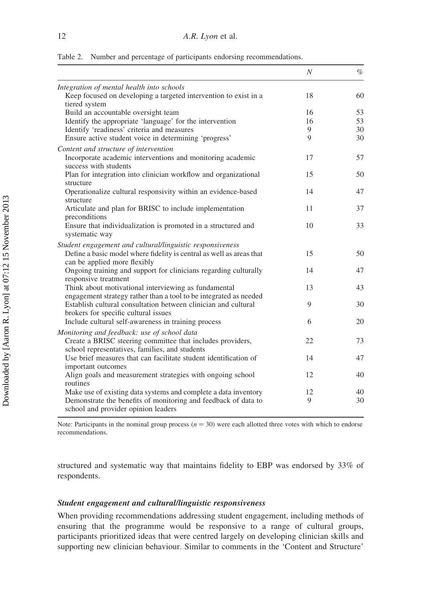<span id="page-11-0"></span>Table 2. Number and percentage of participants endorsing recommendations.

|                                                                                                                                     | $\boldsymbol{N}$ | $\%$ |
|-------------------------------------------------------------------------------------------------------------------------------------|------------------|------|
| Integration of mental health into schools                                                                                           |                  |      |
| Keep focused on developing a targeted intervention to exist in a<br>tiered system                                                   | 18               | 60   |
| Build an accountable oversight team                                                                                                 | 16               | 53   |
| Identify the appropriate 'language' for the intervention                                                                            | 16               | 53   |
| Identify 'readiness' criteria and measures                                                                                          | 9                | 30   |
| Ensure active student voice in determining 'progress'                                                                               | 9                | 30   |
| Content and structure of intervention                                                                                               |                  |      |
| Incorporate academic interventions and monitoring academic<br>success with students                                                 | 17               | 57   |
| Plan for integration into clinician workflow and organizational<br>structure                                                        | 15               | 50   |
| Operationalize cultural responsivity within an evidence-based<br>structure                                                          | 14               | 47   |
| Articulate and plan for BRISC to include implementation<br>preconditions                                                            | 11               | 37   |
| Ensure that individualization is promoted in a structured and<br>systematic way                                                     | 10               | 33   |
| Student engagement and cultural/linguistic responsiveness                                                                           |                  |      |
| Define a basic model where fidelity is central as well as areas that<br>can be applied more flexibly                                | 15               | 50   |
| Ongoing training and support for clinicians regarding culturally<br>responsive treatment                                            | 14               | 47   |
| Think about motivational interviewing as fundamental                                                                                | 13               | 43   |
| engagement strategy rather than a tool to be integrated as needed<br>Establish cultural consultation between clinician and cultural | 9                | 30   |
| brokers for specific cultural issues                                                                                                |                  |      |
| Include cultural self-awareness in training process                                                                                 | 6                | 20   |
| Monitoring and feedback: use of school data                                                                                         |                  |      |
| Create a BRISC steering committee that includes providers,<br>school representatives, families, and students                        | 22               | 73   |
| Use brief measures that can facilitate student identification of<br>important outcomes                                              | 14               | 47   |
| Align goals and measurement strategies with ongoing school<br>routines                                                              | 12               | 40   |
| Make use of existing data systems and complete a data inventory                                                                     | 12               | 40   |
| Demonstrate the benefits of monitoring and feedback of data to<br>school and provider opinion leaders                               | 9                | 30   |

Note: Participants in the nominal group process  $(n = 30)$  were each allotted three votes with which to endorse recommendations.

structured and systematic way that maintains fidelity to EBP was endorsed by 33% of respondents.

# Student engagement and cultural/linguistic responsiveness

When providing recommendations addressing student engagement, including methods of ensuring that the programme would be responsive to a range of cultural groups, participants prioritized ideas that were centred largely on developing clinician skills and supporting new clinician behaviour. Similar to comments in the 'Content and Structure'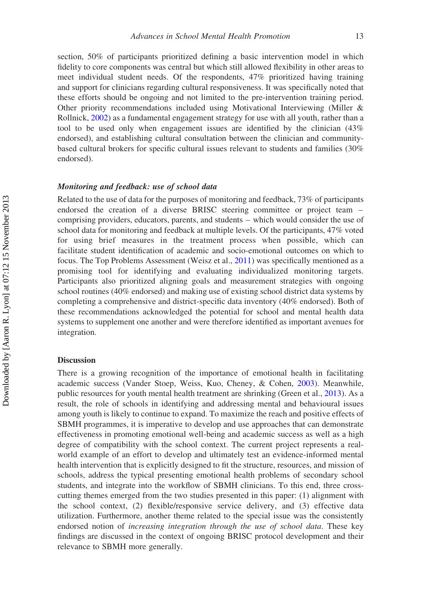section, 50% of participants prioritized defining a basic intervention model in which fidelity to core components was central but which still allowed flexibility in other areas to meet individual student needs. Of the respondents, 47% prioritized having training and support for clinicians regarding cultural responsiveness. It was specifically noted that these efforts should be ongoing and not limited to the pre-intervention training period. Other priority recommendations included using Motivational Interviewing (Miller & Rollnick, [2002\)](#page-18-12) as a fundamental engagement strategy for use with all youth, rather than a tool to be used only when engagement issues are identified by the clinician (43% endorsed), and establishing cultural consultation between the clinician and communitybased cultural brokers for specific cultural issues relevant to students and families (30% endorsed).

# Monitoring and feedback: use of school data

Related to the use of data for the purposes of monitoring and feedback, 73% of participants endorsed the creation of a diverse BRISC steering committee or project team – comprising providers, educators, parents, and students – which would consider the use of school data for monitoring and feedback at multiple levels. Of the participants, 47% voted for using brief measures in the treatment process when possible, which can facilitate student identification of academic and socio-emotional outcomes on which to focus. The Top Problems Assessment (Weisz et al., [2011\)](#page-19-9) was specifically mentioned as a promising tool for identifying and evaluating individualized monitoring targets. Participants also prioritized aligning goals and measurement strategies with ongoing school routines (40% endorsed) and making use of existing school district data systems by completing a comprehensive and district-specific data inventory (40% endorsed). Both of these recommendations acknowledged the potential for school and mental health data systems to supplement one another and were therefore identified as important avenues for integration.

# **Discussion**

There is a growing recognition of the importance of emotional health in facilitating academic success (Vander Stoep, Weiss, Kuo, Cheney, & Cohen, [2003](#page-19-10)). Meanwhile, public resources for youth mental health treatment are shrinking (Green et al., [2013\)](#page-18-13). As a result, the role of schools in identifying and addressing mental and behavioural issues among youth is likely to continue to expand. To maximize the reach and positive effects of SBMH programmes, it is imperative to develop and use approaches that can demonstrate effectiveness in promoting emotional well-being and academic success as well as a high degree of compatibility with the school context. The current project represents a realworld example of an effort to develop and ultimately test an evidence-informed mental health intervention that is explicitly designed to fit the structure, resources, and mission of schools, address the typical presenting emotional health problems of secondary school students, and integrate into the workflow of SBMH clinicians. To this end, three crosscutting themes emerged from the two studies presented in this paper: (1) alignment with the school context, (2) flexible/responsive service delivery, and (3) effective data utilization. Furthermore, another theme related to the special issue was the consistently endorsed notion of increasing integration through the use of school data. These key findings are discussed in the context of ongoing BRISC protocol development and their relevance to SBMH more generally.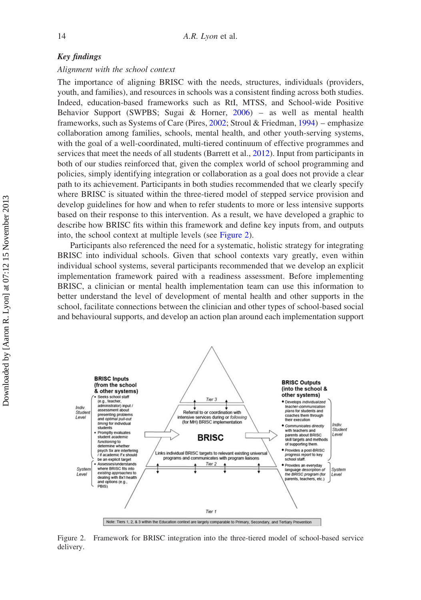# Key findings

# Alignment with the school context

The importance of aligning BRISC with the needs, structures, individuals (providers, youth, and families), and resources in schools was a consistent finding across both studies. Indeed, education-based frameworks such as RtI, MTSS, and School-wide Positive Behavior Support (SWPBS; Sugai & Horner, [2006\)](#page-19-11) – as well as mental health frameworks, such as Systems of Care (Pires, [2002;](#page-18-14) Stroul & Friedman, [1994](#page-19-12)) – emphasize collaboration among families, schools, mental health, and other youth-serving systems, with the goal of a well-coordinated, multi-tiered continuum of effective programmes and services that meet the needs of all students (Barrett et al., [2012\)](#page-17-4). Input from participants in both of our studies reinforced that, given the complex world of school programming and policies, simply identifying integration or collaboration as a goal does not provide a clear path to its achievement. Participants in both studies recommended that we clearly specify where BRISC is situated within the three-tiered model of stepped service provision and develop guidelines for how and when to refer students to more or less intensive supports based on their response to this intervention. As a result, we have developed a graphic to describe how BRISC fits within this framework and define key inputs from, and outputs into, the school context at multiple levels (see [Figure](#page-13-0) 2).

Participants also referenced the need for a systematic, holistic strategy for integrating BRISC into individual schools. Given that school contexts vary greatly, even within individual school systems, several participants recommended that we develop an explicit implementation framework paired with a readiness assessment. Before implementing BRISC, a clinician or mental health implementation team can use this information to better understand the level of development of mental health and other supports in the school, facilitate connections between the clinician and other types of school-based social and behavioural supports, and develop an action plan around each implementation support

<span id="page-13-0"></span>

Figure 2. Framework for BRISC integration into the three-tiered model of school-based service delivery.

 $\sim$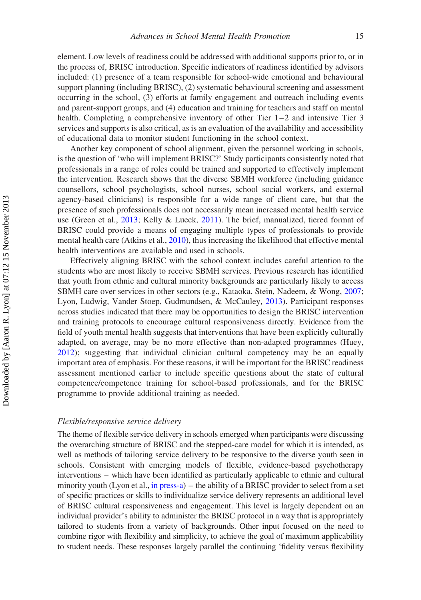element. Low levels of readiness could be addressed with additional supports prior to, or in the process of, BRISC introduction. Specific indicators of readiness identified by advisors included: (1) presence of a team responsible for school-wide emotional and behavioural support planning (including BRISC), (2) systematic behavioural screening and assessment occurring in the school, (3) efforts at family engagement and outreach including events and parent-support groups, and (4) education and training for teachers and staff on mental health. Completing a comprehensive inventory of other Tier 1–2 and intensive Tier 3 services and supports is also critical, as is an evaluation of the availability and accessibility of educational data to monitor student functioning in the school context.

Another key component of school alignment, given the personnel working in schools, is the question of 'who will implement BRISC?' Study participants consistently noted that professionals in a range of roles could be trained and supported to effectively implement the intervention. Research shows that the diverse SBMH workforce (including guidance counsellors, school psychologists, school nurses, school social workers, and external agency-based clinicians) is responsible for a wide range of client care, but that the presence of such professionals does not necessarily mean increased mental health service use (Green et al., [2013;](#page-18-13) Kelly & Lueck, [2011\)](#page-18-15). The brief, manualized, tiered format of BRISC could provide a means of engaging multiple types of professionals to provide mental health care (Atkins et al., [2010\)](#page-17-7), thus increasing the likelihood that effective mental health interventions are available and used in schools.

Effectively aligning BRISC with the school context includes careful attention to the students who are most likely to receive SBMH services. Previous research has identified that youth from ethnic and cultural minority backgrounds are particularly likely to access SBMH care over services in other sectors (e.g., Kataoka, Stein, Nadeem, & Wong, [2007](#page-18-16); Lyon, Ludwig, Vander Stoep, Gudmundsen, & McCauley, [2013\)](#page-18-17). Participant responses across studies indicated that there may be opportunities to design the BRISC intervention and training protocols to encourage cultural responsiveness directly. Evidence from the field of youth mental health suggests that interventions that have been explicitly culturally adapted, on average, may be no more effective than non-adapted programmes (Huey, [2012](#page-18-18)); suggesting that individual clinician cultural competency may be an equally important area of emphasis. For these reasons, it will be important for the BRISC readiness assessment mentioned earlier to include specific questions about the state of cultural competence/competence training for school-based professionals, and for the BRISC programme to provide additional training as needed.

#### Flexible/responsive service delivery

The theme of flexible service delivery in schools emerged when participants were discussing the overarching structure of BRISC and the stepped-care model for which it is intended, as well as methods of tailoring service delivery to be responsive to the diverse youth seen in schools. Consistent with emerging models of flexible, evidence-based psychotherapy interventions – which have been identified as particularly applicable to ethnic and cultural minority youth (Lyon et al., in [press-a](#page-18-8)) – the ability of a BRISC provider to select from a set of specific practices or skills to individualize service delivery represents an additional level of BRISC cultural responsiveness and engagement. This level is largely dependent on an individual provider's ability to administer the BRISC protocol in a way that is appropriately tailored to students from a variety of backgrounds. Other input focused on the need to combine rigor with flexibility and simplicity, to achieve the goal of maximum applicability to student needs. These responses largely parallel the continuing 'fidelity versus flexibility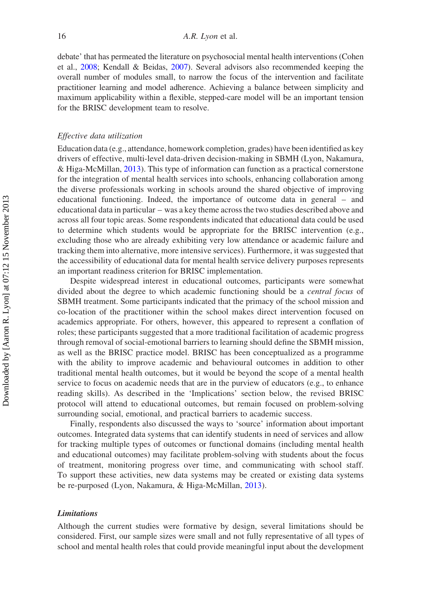debate' that has permeated the literature on psychosocial mental health interventions(Cohen et al., [2008;](#page-17-12) Kendall & Beidas, [2007\)](#page-18-19). Several advisors also recommended keeping the overall number of modules small, to narrow the focus of the intervention and facilitate practitioner learning and model adherence. Achieving a balance between simplicity and maximum applicability within a flexible, stepped-care model will be an important tension for the BRISC development team to resolve.

#### Effective data utilization

Education data (e.g., attendance, homework completion, grades) have been identified as key drivers of effective, multi-level data-driven decision-making in SBMH (Lyon, Nakamura, & Higa-McMillan, [2013\)](#page-18-3). This type of information can function as a practical cornerstone for the integration of mental health services into schools, enhancing collaboration among the diverse professionals working in schools around the shared objective of improving educational functioning. Indeed, the importance of outcome data in general – and educational data in particular – was a key theme acrossthe two studies described above and across all four topic areas. Some respondents indicated that educational data could be used to determine which students would be appropriate for the BRISC intervention (e.g., excluding those who are already exhibiting very low attendance or academic failure and tracking them into alternative, more intensive services). Furthermore, it was suggested that the accessibility of educational data for mental health service delivery purposes represents an important readiness criterion for BRISC implementation.

Despite widespread interest in educational outcomes, participants were somewhat divided about the degree to which academic functioning should be a central focus of SBMH treatment. Some participants indicated that the primacy of the school mission and co-location of the practitioner within the school makes direct intervention focused on academics appropriate. For others, however, this appeared to represent a conflation of roles; these participants suggested that a more traditional facilitation of academic progress through removal of social-emotional barriers to learning should define the SBMH mission, as well as the BRISC practice model. BRISC has been conceptualized as a programme with the ability to improve academic and behavioural outcomes in addition to other traditional mental health outcomes, but it would be beyond the scope of a mental health service to focus on academic needs that are in the purview of educators (e.g., to enhance reading skills). As described in the 'Implications' section below, the revised BRISC protocol will attend to educational outcomes, but remain focused on problem-solving surrounding social, emotional, and practical barriers to academic success.

Finally, respondents also discussed the ways to 'source' information about important outcomes. Integrated data systems that can identify students in need of services and allow for tracking multiple types of outcomes or functional domains (including mental health and educational outcomes) may facilitate problem-solving with students about the focus of treatment, monitoring progress over time, and communicating with school staff. To support these activities, new data systems may be created or existing data systems be re-purposed (Lyon, Nakamura, & Higa-McMillan, [2013\)](#page-18-3).

# Limitations

Although the current studies were formative by design, several limitations should be considered. First, our sample sizes were small and not fully representative of all types of school and mental health roles that could provide meaningful input about the development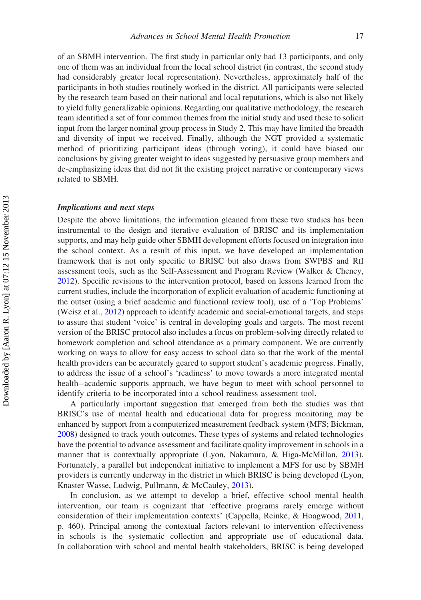of an SBMH intervention. The first study in particular only had 13 participants, and only one of them was an individual from the local school district (in contrast, the second study had considerably greater local representation). Nevertheless, approximately half of the participants in both studies routinely worked in the district. All participants were selected by the research team based on their national and local reputations, which is also not likely to yield fully generalizable opinions. Regarding our qualitative methodology, the research team identified a set of four common themes from the initial study and used these to solicit input from the larger nominal group process in Study 2. This may have limited the breadth and diversity of input we received. Finally, although the NGT provided a systematic method of prioritizing participant ideas (through voting), it could have biased our conclusions by giving greater weight to ideas suggested by persuasive group members and de-emphasizing ideas that did not fit the existing project narrative or contemporary views related to SBMH.

# Implications and next steps

Despite the above limitations, the information gleaned from these two studies has been instrumental to the design and iterative evaluation of BRISC and its implementation supports, and may help guide other SBMH development efforts focused on integration into the school context. As a result of this input, we have developed an implementation framework that is not only specific to BRISC but also draws from SWPBS and RtI assessment tools, such as the Self-Assessment and Program Review (Walker & Cheney, [2012](#page-19-13)). Specific revisions to the intervention protocol, based on lessons learned from the current studies, include the incorporation of explicit evaluation of academic functioning at the outset (using a brief academic and functional review tool), use of a 'Top Problems' (Weisz et al., [2012](#page-19-4)) approach to identify academic and social-emotional targets, and steps to assure that student 'voice' is central in developing goals and targets. The most recent version of the BRISC protocol also includes a focus on problem-solving directly related to homework completion and school attendance as a primary component. We are currently working on ways to allow for easy access to school data so that the work of the mental health providers can be accurately geared to support student's academic progress. Finally, to address the issue of a school's 'readiness' to move towards a more integrated mental health–academic supports approach, we have begun to meet with school personnel to identify criteria to be incorporated into a school readiness assessment tool.

A particularly important suggestion that emerged from both the studies was that BRISC's use of mental health and educational data for progress monitoring may be enhanced by support from a computerized measurement feedback system (MFS; Bickman, [2008](#page-17-13)) designed to track youth outcomes. These types of systems and related technologies have the potential to advance assessment and facilitate quality improvement in schools in a manner that is contextually appropriate (Lyon, Nakamura, & Higa-McMillan, [2013](#page-18-3)). Fortunately, a parallel but independent initiative to implement a MFS for use by SBMH providers is currently underway in the district in which BRISC is being developed (Lyon, Knaster Wasse, Ludwig, Pullmann, & McCauley, [2013](#page-18-20)).

In conclusion, as we attempt to develop a brief, effective school mental health intervention, our team is cognizant that 'effective programs rarely emerge without consideration of their implementation contexts' (Cappella, Reinke, & Hoagwood, [2011](#page-17-14), p. 460). Principal among the contextual factors relevant to intervention effectiveness in schools is the systematic collection and appropriate use of educational data. In collaboration with school and mental health stakeholders, BRISC is being developed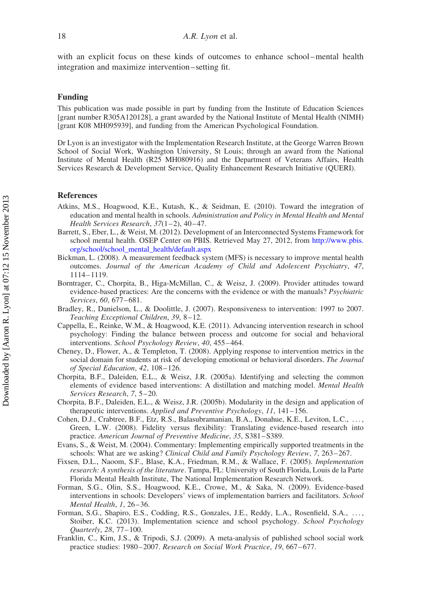with an explicit focus on these kinds of outcomes to enhance school–mental health integration and maximize intervention–setting fit.

# Funding

This publication was made possible in part by funding from the Institute of Education Sciences [grant number R305A120128], a grant awarded by the National Institute of Mental Health (NIMH) [grant K08 MH095939], and funding from the American Psychological Foundation.

Dr Lyon is an investigator with the Implementation Research Institute, at the George Warren Brown School of Social Work, Washington University, St Louis; through an award from the National Institute of Mental Health (R25 MH080916) and the Department of Veterans Affairs, Health Services Research & Development Service, Quality Enhancement Research Initiative (QUERI).

#### <span id="page-17-7"></span>References

- Atkins, M.S., Hoagwood, K.E., Kutash, K., & Seidman, E. (2010). Toward the integration of education and mental health in schools. Administration and Policy in Mental Health and Mental Health Services Research, 37(1–2), 40–47.
- <span id="page-17-4"></span>Barrett, S., Eber, L., & Weist, M. (2012). Development of an Interconnected Systems Framework for school mental health. OSEP Center on PBIS. Retrieved May 27, 2012, from [http://www.pbis.](http://www.pbis.org/school/school_mental_health/default.aspx) [org/school/school\\_mental\\_health/default.aspx](http://www.pbis.org/school/school_mental_health/default.aspx)
- <span id="page-17-13"></span>Bickman, L. (2008). A measurement feedback system (MFS) is necessary to improve mental health outcomes. Journal of the American Academy of Child and Adolescent Psychiatry, 47, 1114–1119.
- <span id="page-17-11"></span>Borntrager, C., Chorpita, B., Higa-McMillan, C., & Weisz, J. (2009). Provider attitudes toward evidence-based practices: Are the concerns with the evidence or with the manuals? *Psychiatric* Services, 60, 677–681.
- <span id="page-17-14"></span><span id="page-17-5"></span>Bradley, R., Danielson, L., & Doolittle, J. (2007). Responsiveness to intervention: 1997 to 2007. Teaching Exceptional Children, 39, 8–12.
- Cappella, E., Reinke, W.M., & Hoagwood, K.E. (2011). Advancing intervention research in school psychology: Finding the balance between process and outcome for social and behavioral interventions. School Psychology Review, 40, 455–464.
- <span id="page-17-6"></span>Cheney, D., Flower, A., & Templeton, T. (2008). Applying response to intervention metrics in the social domain for students at risk of developing emotional or behavioral disorders. The Journal of Special Education, 42, 108–126.
- <span id="page-17-9"></span>Chorpita, B.F., Daleiden, E.L., & Weisz, J.R. (2005a). Identifying and selecting the common elements of evidence based interventions: A distillation and matching model. Mental Health Services Research, 7, 5–20.
- <span id="page-17-12"></span><span id="page-17-10"></span>Chorpita, B.F., Daleiden, E.L., & Weisz, J.R. (2005b). Modularity in the design and application of therapeutic interventions. Applied and Preventive Psychology, 11, 141-156.
- Cohen, D.J., Crabtree, B.F., Etz, R.S., Balasubramanian, B.A., Donahue, K.E., Leviton, L.C., ... , Green, L.W. (2008). Fidelity versus flexibility: Translating evidence-based research into practice. American Journal of Preventive Medicine, 35, S381–S389.
- <span id="page-17-1"></span><span id="page-17-0"></span>Evans, S., & Weist, M. (2004). Commentary: Implementing empirically supported treatments in the schools: What are we asking? Clinical Child and Family Psychology Review, 7, 263–267.
- Fixsen, D.L., Naoom, S.F., Blase, K.A., Friedman, R.M., & Wallace, F. (2005). Implementation research: A synthesis of the literature. Tampa, FL: University of South Florida, Louis de la Parte Florida Mental Health Institute, The National Implementation Research Network.
- <span id="page-17-2"></span>Forman, S.G., Olin, S.S., Hoagwood, K.E., Crowe, M., & Saka, N. (2009). Evidence-based interventions in schools: Developers' views of implementation barriers and facilitators. School Mental Health, 1, 26–36.
- <span id="page-17-3"></span>Forman, S.G., Shapiro, E.S., Codding, R.S., Gonzales, J.E., Reddy, L.A., Rosenfield, S.A., ... , Stoiber, K.C. (2013). Implementation science and school psychology. School Psychology Quarterly, 28, 77–100.
- <span id="page-17-8"></span>Franklin, C., Kim, J.S., & Tripodi, S.J. (2009). A meta-analysis of published school social work practice studies: 1980–2007. Research on Social Work Practice, 19, 667–677.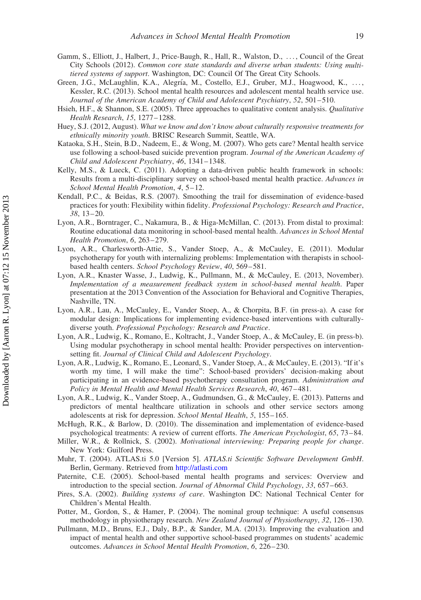- <span id="page-18-1"></span>Gamm, S., Elliott, J., Halbert, J., Price-Baugh, R., Hall, R., Walston, D., ... , Council of the Great City Schools (2012). Common core state standards and diverse urban students: Using multitiered systems of support. Washington, DC: Council Of The Great City Schools.
- <span id="page-18-13"></span>Green, J.G., McLaughlin, K.A., Alegría, M., Costello, E.J., Gruber, M.J., Hoagwood, K., ..., Kessler, R.C. (2013). School mental health resources and adolescent mental health service use. Journal of the American Academy of Child and Adolescent Psychiatry, 52, 501–510.
- <span id="page-18-10"></span>Hsieh, H.F., & Shannon, S.E. (2005). Three approaches to qualitative content analysis. *Qualitative* Health Research, 15, 1277–1288.
- <span id="page-18-18"></span>Huey, S.J. (2012, August). What we know and don't know about culturally responsive treatments for ethnically minority youth. BRISC Research Summit, Seattle, WA.
- <span id="page-18-16"></span>Kataoka, S.H., Stein, B.D., Nadeem, E., & Wong, M. (2007). Who gets care? Mental health service use following a school-based suicide prevention program. Journal of the American Academy of Child and Adolescent Psychiatry, 46, 1341–1348.
- <span id="page-18-15"></span>Kelly, M.S., & Lueck, C. (2011). Adopting a data-driven public health framework in schools: Results from a multi-disciplinary survey on school-based mental health practice. Advances in School Mental Health Promotion, 4, 5–12.
- <span id="page-18-19"></span>Kendall, P.C., & Beidas, R.S. (2007). Smoothing the trail for dissemination of evidence-based practices for youth: Flexibility within fidelity. Professional Psychology: Research and Practice, 38, 13–20.
- <span id="page-18-3"></span>Lyon, A.R., Borntrager, C., Nakamura, B., & Higa-McMillan, C. (2013). From distal to proximal: Routine educational data monitoring in school-based mental health. Advances in School Mental Health Promotion, 6, 263–279.
- <span id="page-18-5"></span>Lyon, A.R., Charlesworth-Attie, S., Vander Stoep, A., & McCauley, E. (2011). Modular psychotherapy for youth with internalizing problems: Implementation with therapists in schoolbased health centers. School Psychology Review, 40, 569–581.
- <span id="page-18-20"></span>Lyon, A.R., Knaster Wasse, J., Ludwig, K., Pullmann, M., & McCauley, E. (2013, November). Implementation of a measurement feedback system in school-based mental health. Paper presentation at the 2013 Convention of the Association for Behavioral and Cognitive Therapies, Nashville, TN.
- <span id="page-18-8"></span>Lyon, A.R., Lau, A., McCauley, E., Vander Stoep, A., & Chorpita, B.F. (in press-a). A case for modular design: Implications for implementing evidence-based interventions with culturallydiverse youth. Professional Psychology: Research and Practice.
- <span id="page-18-7"></span>Lyon, A.R., Ludwig, K., Romano, E., Koltracht, J., Vander Stoep, A., & McCauley, E. (in press-b). Using modular psychotherapy in school mental health: Provider perspectives on interventionsetting fit. Journal of Clinical Child and Adolescent Psychology.
- <span id="page-18-4"></span>Lyon, A.R., Ludwig, K., Romano, E., Leonard, S., Vander Stoep, A., & McCauley, E. (2013). "If it's worth my time, I will make the time": School-based providers' decision-making about participating in an evidence-based psychotherapy consultation program. Administration and Policy in Mental Health and Mental Health Services Research, 40, 467–481.
- <span id="page-18-17"></span>Lyon, A.R., Ludwig, K., Vander Stoep, A., Gudmundsen, G., & McCauley, E. (2013). Patterns and predictors of mental healthcare utilization in schools and other service sectors among adolescents at risk for depression. School Mental Health, 5, 155–165.
- <span id="page-18-12"></span><span id="page-18-0"></span>McHugh, R.K., & Barlow, D. (2010). The dissemination and implementation of evidence-based psychological treatments: A review of current efforts. The American Psychologist, 65, 73–84.
- <span id="page-18-9"></span>Miller, W.R., & Rollnick, S. (2002). Motivational interviewing: Preparing people for change. New York: Guilford Press.
- <span id="page-18-6"></span>Muhr, T. (2004). ATLAS.ti 5.0 [Version 5]. ATLAS.ti Scientific Software Development GmbH. Berlin, Germany. Retrieved from <http://atlasti.com>
- <span id="page-18-14"></span>Paternite, C.E. (2005). School-based mental health programs and services: Overview and introduction to the special section. Journal of Abnormal Child Psychology, 33, 657–663.
- <span id="page-18-11"></span>Pires, S.A. (2002). Building systems of care. Washington DC: National Technical Center for Children's Mental Health.
- <span id="page-18-2"></span>Potter, M., Gordon, S., & Hamer, P. (2004). The nominal group technique: A useful consensus methodology in physiotherapy research. New Zealand Journal of Physiotherapy, 32, 126–130.
- Pullmann, M.D., Bruns, E.J., Daly, B.P., & Sander, M.A. (2013). Improving the evaluation and impact of mental health and other supportive school-based programmes on students' academic outcomes. Advances in School Mental Health Promotion, 6, 226–230.